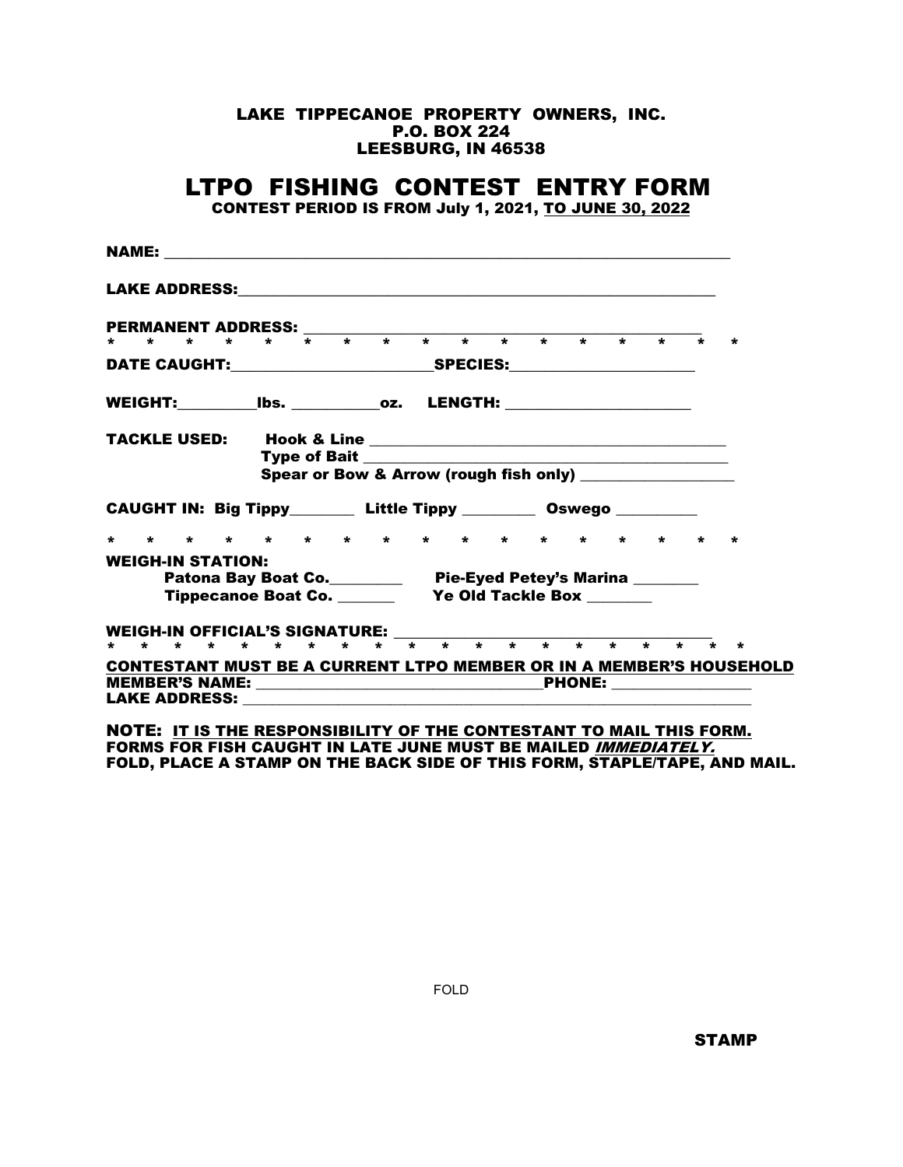## LAKE TIPPECANOE PROPERTY OWNERS, INC. P.O. BOX 224 LEESBURG, IN 46538

## LTPO FISHING CONTEST ENTRY FORM

CONTEST PERIOD IS FROM July 1, 2021, TO JUNE 30, 2022

| Spear or Bow & Arrow (rough fish only) _______________<br>CAUGHT IN: Big Tippy_________ Little Tippy ___________ Oswego __________<br>* * * * * * * * * * * * * * * * *<br>$\star$<br><b>WEIGH-IN STATION:</b><br>Patona Bay Boat Co.___________ Pie-Eyed Petey's Marina _______<br>WEIGH-IN OFFICIAL'S SIGNATURE: ______ |  |  |  |  |  |  |  |  |  |  |  |  |  |  |  |  |  |  |
|---------------------------------------------------------------------------------------------------------------------------------------------------------------------------------------------------------------------------------------------------------------------------------------------------------------------------|--|--|--|--|--|--|--|--|--|--|--|--|--|--|--|--|--|--|
|                                                                                                                                                                                                                                                                                                                           |  |  |  |  |  |  |  |  |  |  |  |  |  |  |  |  |  |  |
|                                                                                                                                                                                                                                                                                                                           |  |  |  |  |  |  |  |  |  |  |  |  |  |  |  |  |  |  |
|                                                                                                                                                                                                                                                                                                                           |  |  |  |  |  |  |  |  |  |  |  |  |  |  |  |  |  |  |
|                                                                                                                                                                                                                                                                                                                           |  |  |  |  |  |  |  |  |  |  |  |  |  |  |  |  |  |  |
|                                                                                                                                                                                                                                                                                                                           |  |  |  |  |  |  |  |  |  |  |  |  |  |  |  |  |  |  |
|                                                                                                                                                                                                                                                                                                                           |  |  |  |  |  |  |  |  |  |  |  |  |  |  |  |  |  |  |
|                                                                                                                                                                                                                                                                                                                           |  |  |  |  |  |  |  |  |  |  |  |  |  |  |  |  |  |  |
|                                                                                                                                                                                                                                                                                                                           |  |  |  |  |  |  |  |  |  |  |  |  |  |  |  |  |  |  |
|                                                                                                                                                                                                                                                                                                                           |  |  |  |  |  |  |  |  |  |  |  |  |  |  |  |  |  |  |
|                                                                                                                                                                                                                                                                                                                           |  |  |  |  |  |  |  |  |  |  |  |  |  |  |  |  |  |  |
|                                                                                                                                                                                                                                                                                                                           |  |  |  |  |  |  |  |  |  |  |  |  |  |  |  |  |  |  |
|                                                                                                                                                                                                                                                                                                                           |  |  |  |  |  |  |  |  |  |  |  |  |  |  |  |  |  |  |
|                                                                                                                                                                                                                                                                                                                           |  |  |  |  |  |  |  |  |  |  |  |  |  |  |  |  |  |  |
|                                                                                                                                                                                                                                                                                                                           |  |  |  |  |  |  |  |  |  |  |  |  |  |  |  |  |  |  |
|                                                                                                                                                                                                                                                                                                                           |  |  |  |  |  |  |  |  |  |  |  |  |  |  |  |  |  |  |
| <b>CONTESTANT MUST BE A CURRENT LTPO MEMBER OR IN A MEMBER'S HOUSEHOLD</b>                                                                                                                                                                                                                                                |  |  |  |  |  |  |  |  |  |  |  |  |  |  |  |  |  |  |
| <b>PHONE:</b> _________________                                                                                                                                                                                                                                                                                           |  |  |  |  |  |  |  |  |  |  |  |  |  |  |  |  |  |  |

NOTE: IT IS THE RESPONSIBILITY OF THE CONTESTANT TO MAIL THIS FORM. FORMS FOR FISH CAUGHT IN LATE JUNE MUST BE MAILED <u>IMMEDIA*TELY.*</u> FOLD, PLACE A STAMP ON THE BACK SIDE OF THIS FORM, STAPLE/TAPE, AND MAIL.